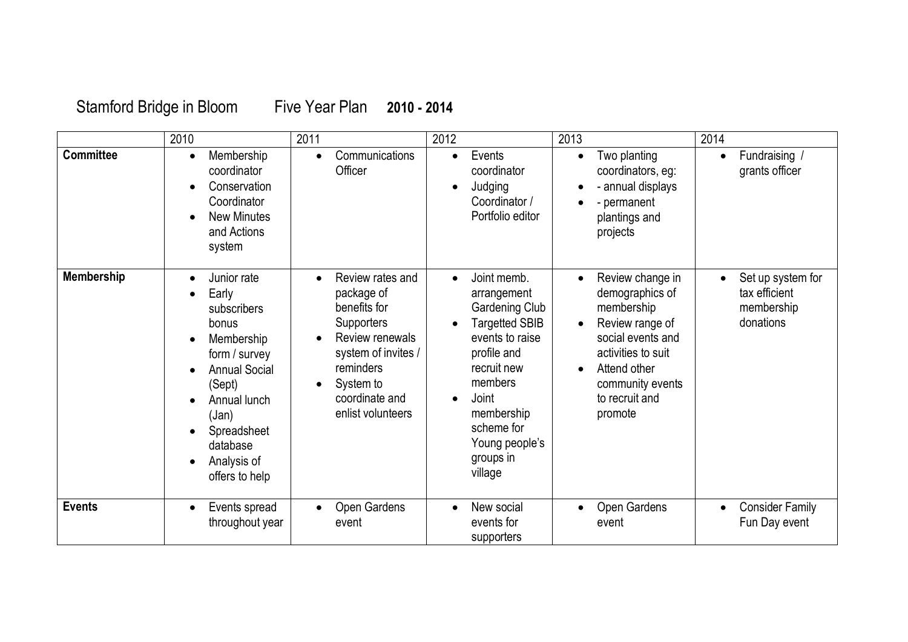## Stamford Bridge in Bloom Five Year Plan **2010 - 2014**

|                   | 2010                                                                                                                                                                                                            | 2011                                                                                                                                                                                                     | 2012                                                                                                                                                                                                                                              | 2013                                                                                                                                                                                          | 2014                                                          |
|-------------------|-----------------------------------------------------------------------------------------------------------------------------------------------------------------------------------------------------------------|----------------------------------------------------------------------------------------------------------------------------------------------------------------------------------------------------------|---------------------------------------------------------------------------------------------------------------------------------------------------------------------------------------------------------------------------------------------------|-----------------------------------------------------------------------------------------------------------------------------------------------------------------------------------------------|---------------------------------------------------------------|
| <b>Committee</b>  | Membership<br>coordinator<br>Conservation<br>Coordinator<br><b>New Minutes</b><br>and Actions<br>system                                                                                                         | Communications<br>$\bullet$<br>Officer                                                                                                                                                                   | Events<br>$\bullet$<br>coordinator<br>Judging<br>Coordinator /<br>Portfolio editor                                                                                                                                                                | Two planting<br>coordinators, eg:<br>- annual displays<br>- permanent<br>plantings and<br>projects                                                                                            | Fundraising /<br>$\bullet$<br>grants officer                  |
| <b>Membership</b> | Junior rate<br>$\bullet$<br>Early<br>subscribers<br>bonus<br>Membership<br>form / survey<br><b>Annual Social</b><br>(Sept)<br>Annual lunch<br>(Jan)<br>Spreadsheet<br>database<br>Analysis of<br>offers to help | Review rates and<br>$\bullet$<br>package of<br>benefits for<br><b>Supporters</b><br>Review renewals<br>system of invites /<br>reminders<br>System to<br>$\bullet$<br>coordinate and<br>enlist volunteers | Joint memb.<br>$\bullet$<br>arrangement<br><b>Gardening Club</b><br><b>Targetted SBIB</b><br>events to raise<br>profile and<br>recruit new<br>members<br>Joint<br>$\bullet$<br>membership<br>scheme for<br>Young people's<br>groups in<br>village | Review change in<br>$\bullet$<br>demographics of<br>membership<br>Review range of<br>social events and<br>activities to suit<br>Attend other<br>community events<br>to recruit and<br>promote | Set up system for<br>tax efficient<br>membership<br>donations |
| <b>Events</b>     | Events spread<br>$\bullet$<br>throughout year                                                                                                                                                                   | Open Gardens<br>event                                                                                                                                                                                    | New social<br>events for<br>supporters                                                                                                                                                                                                            | Open Gardens<br>event                                                                                                                                                                         | <b>Consider Family</b><br>$\bullet$<br>Fun Day event          |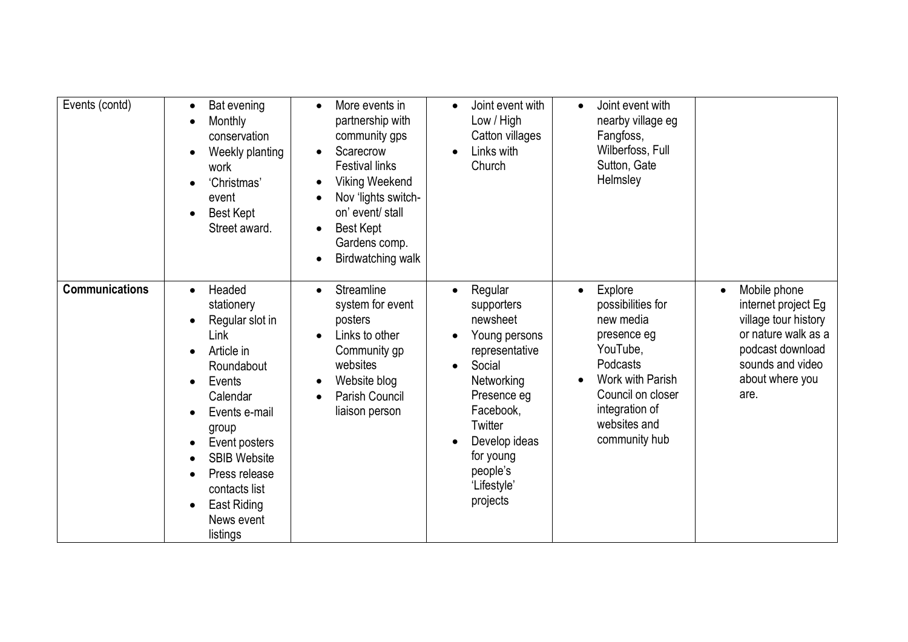| Events (contd)        | Bat evening<br>Monthly<br>$\bullet$<br>conservation<br>Weekly planting<br>work<br>'Christmas'<br>event<br><b>Best Kept</b><br>Street award.                                                                                                                                           | More events in<br>$\bullet$<br>partnership with<br>community gps<br>Scarecrow<br>$\bullet$<br><b>Festival links</b><br><b>Viking Weekend</b><br>$\bullet$<br>Nov 'lights switch-<br>on' event/ stall<br>Best Kept<br>$\bullet$<br>Gardens comp.<br>Birdwatching walk<br>$\bullet$ | Joint event with<br>Low / High<br>Catton villages<br>Links with<br>$\bullet$<br>Church                                                                                                                                | Joint event with<br>$\bullet$<br>nearby village eg<br>Fangfoss,<br>Wilberfoss, Full<br>Sutton, Gate<br>Helmsley                                                                           |                                                                                                                                                       |
|-----------------------|---------------------------------------------------------------------------------------------------------------------------------------------------------------------------------------------------------------------------------------------------------------------------------------|-----------------------------------------------------------------------------------------------------------------------------------------------------------------------------------------------------------------------------------------------------------------------------------|-----------------------------------------------------------------------------------------------------------------------------------------------------------------------------------------------------------------------|-------------------------------------------------------------------------------------------------------------------------------------------------------------------------------------------|-------------------------------------------------------------------------------------------------------------------------------------------------------|
| <b>Communications</b> | Headed<br>$\bullet$<br>stationery<br>Regular slot in<br>Link<br>Article in<br>$\bullet$<br>Roundabout<br>Events<br>Calendar<br>Events e-mail<br>group<br>Event posters<br><b>SBIB Website</b><br>Press release<br>contacts list<br>East Riding<br>$\bullet$<br>News event<br>listings | Streamline<br>$\bullet$<br>system for event<br>posters<br>Links to other<br>Community gp<br>websites<br>Website blog<br>Parish Council<br>liaison person                                                                                                                          | Regular<br>supporters<br>newsheet<br>Young persons<br>representative<br>Social<br>$\bullet$<br>Networking<br>Presence eg<br>Facebook,<br>Twitter<br>Develop ideas<br>for young<br>people's<br>'Lifestyle'<br>projects | Explore<br>$\bullet$<br>possibilities for<br>new media<br>presence eg<br>YouTube,<br>Podcasts<br>Work with Parish<br>Council on closer<br>integration of<br>websites and<br>community hub | Mobile phone<br>internet project Eg<br>village tour history<br>or nature walk as a<br>podcast download<br>sounds and video<br>about where you<br>are. |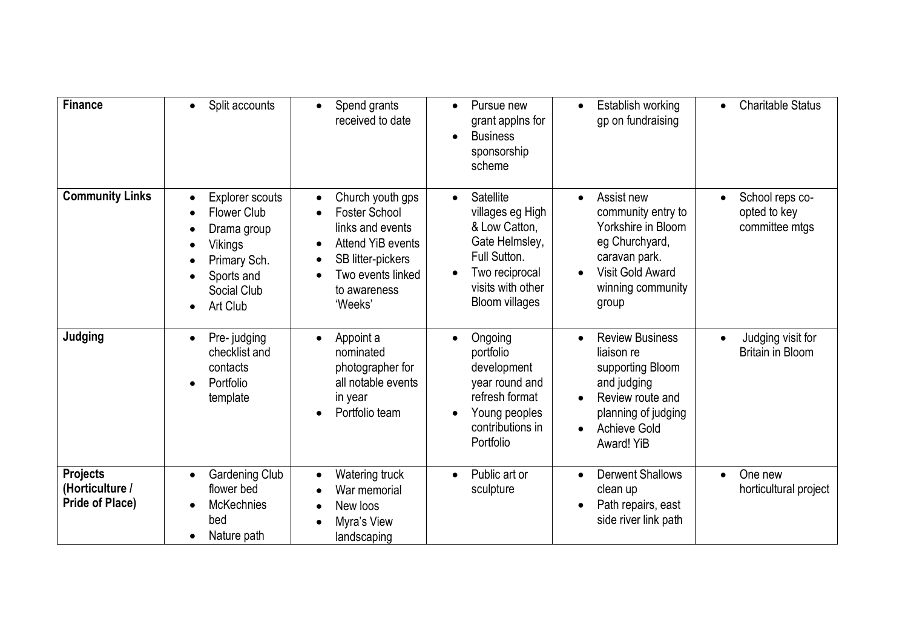| <b>Finance</b>                                               | Split accounts<br>$\bullet$                                                                                                     | Spend grants<br>$\bullet$<br>received to date                                                                                                          | Pursue new<br>$\bullet$<br>grant applns for<br><b>Business</b><br>$\bullet$<br>sponsorship<br>scheme                                                          | Establish working<br>$\bullet$<br>gp on fundraising                                                                                                                               | <b>Charitable Status</b>                                  |
|--------------------------------------------------------------|---------------------------------------------------------------------------------------------------------------------------------|--------------------------------------------------------------------------------------------------------------------------------------------------------|---------------------------------------------------------------------------------------------------------------------------------------------------------------|-----------------------------------------------------------------------------------------------------------------------------------------------------------------------------------|-----------------------------------------------------------|
| <b>Community Links</b>                                       | <b>Explorer scouts</b><br><b>Flower Club</b><br>Drama group<br>Vikings<br>Primary Sch.<br>Sports and<br>Social Club<br>Art Club | Church youth gps<br><b>Foster School</b><br>links and events<br>Attend YiB events<br>SB litter-pickers<br>Two events linked<br>to awareness<br>'Weeks' | Satellite<br>villages eg High<br>& Low Catton,<br>Gate Helmsley,<br>Full Sutton.<br>Two reciprocal<br>$\bullet$<br>visits with other<br><b>Bloom villages</b> | Assist new<br>community entry to<br>Yorkshire in Bloom<br>eg Churchyard,<br>caravan park.<br>Visit Gold Award<br>$\bullet$<br>winning community<br>group                          | School reps co-<br>opted to key<br>committee mtgs         |
| Judging                                                      | Pre-judging<br>checklist and<br>contacts<br>Portfolio<br>template                                                               | Appoint a<br>$\bullet$<br>nominated<br>photographer for<br>all notable events<br>in year<br>Portfolio team                                             | Ongoing<br>$\bullet$<br>portfolio<br>development<br>year round and<br>refresh format<br>Young peoples<br>contributions in<br>Portfolio                        | <b>Review Business</b><br>$\bullet$<br>liaison re<br>supporting Bloom<br>and judging<br>Review route and<br>planning of judging<br><b>Achieve Gold</b><br>$\bullet$<br>Award! YiB | Judging visit for<br>$\bullet$<br><b>Britain in Bloom</b> |
| <b>Projects</b><br>(Horticulture /<br><b>Pride of Place)</b> | Gardening Club<br>flower bed<br><b>McKechnies</b><br>bed<br>Nature path                                                         | Watering truck<br>War memorial<br>New loos<br>Myra's View<br>landscaping                                                                               | Public art or<br>sculpture                                                                                                                                    | <b>Derwent Shallows</b><br>clean up<br>Path repairs, east<br>side river link path                                                                                                 | One new<br>horticultural project                          |